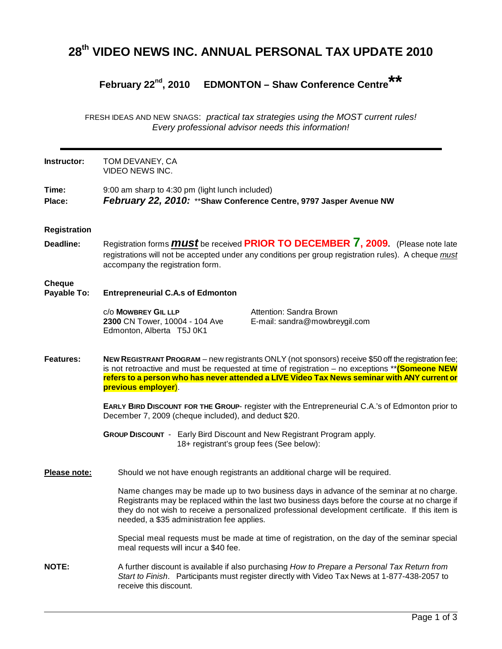# **28th VIDEO NEWS INC. ANNUAL PERSONAL TAX UPDATE 2010**

## **February 22nd, 2010 EDMONTON – Shaw Conference Centre\*\***

FRESH IDEAS AND NEW SNAGS: practical tax strategies using the MOST current rules! Every professional advisor needs this information!

**Instructor:** TOM DEVANEY, CA VIDEO NEWS INC.

**Time:** 9:00 am sharp to 4:30 pm (light lunch included)

**Place: February 22, 2010:** \*\***Shaw Conference Centre, 9797 Jasper Avenue NW** 

- **Registration**
- **Deadline:** Registration forms **must** be received **PRIOR TO DECEMBER 7, 2009.** (Please note late registrations will not be accepted under any conditions per group registration rules). A cheque must accompany the registration form.

## **Cheque**

**Payable To: Entrepreneurial C.A.s of Edmonton**

c/o **MOWBREY GIL LLP** Attention: Sandra Brown **2300** CN Tower, 10004 - 104 Ave E-mail: sandra@mowbreygil.com Edmonton, Alberta T5J 0K1

**Features: NEW REGISTRANT PROGRAM** – new registrants ONLY (not sponsors) receive \$50 off the registration fee; is not retroactive and must be requested at time of registration – no exceptions \*\***(Someone NEW refers to a person who has never attended a LIVE Video Tax News seminar with ANY current or previous employer**).

> **EARLY BIRD DISCOUNT FOR THE GROUP**- register with the Entrepreneurial C.A.'s of Edmonton prior to December 7, 2009 (cheque included), and deduct \$20.

**GROUP DISCOUNT** - Early Bird Discount and New Registrant Program apply. 18+ registrant's group fees (See below):

**Please note:** Should we not have enough registrants an additional charge will be required.

Name changes may be made up to two business days in advance of the seminar at no charge. Registrants may be replaced within the last two business days before the course at no charge if they do not wish to receive a personalized professional development certificate. If this item is needed, a \$35 administration fee applies.

Special meal requests must be made at time of registration, on the day of the seminar special meal requests will incur a \$40 fee.

**NOTE:** A further discount is available if also purchasing How to Prepare a Personal Tax Return from Start to Finish. Participants must register directly with Video Tax News at 1-877-438-2057 to receive this discount.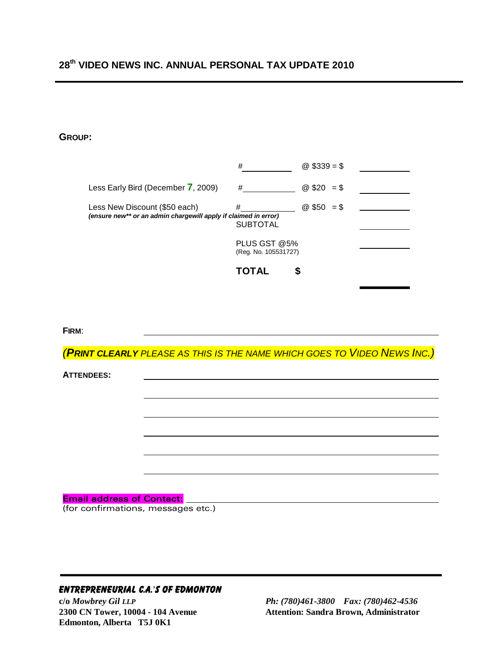# **28th VIDEO NEWS INC. ANNUAL PERSONAL TAX UPDATE 2010**

#### **GROUP:**

|                                                                                                  | #                                                            | @ $$339 = $$ |  |
|--------------------------------------------------------------------------------------------------|--------------------------------------------------------------|--------------|--|
| Less Early Bird (December 7, 2009)                                                               | #                                                            | @ $$20 = $$  |  |
| Less New Discount (\$50 each)<br>(ensure new** or an admin chargewill apply if claimed in error) | #<br><b>SUBTOTAL</b><br>PLUS GST @5%<br>(Reg. No. 105531727) | @ $$50 = $$  |  |
|                                                                                                  | <b>TOTAL</b>                                                 |              |  |

**FIRM**:

(**PRINT CLEARLY** PLEASE AS THIS IS THE NAME WHICH GOES TO VIDEO NEWS INC.)

**ATTENDEES:** 

#### **Email address of Contact:**

(for confirmations, messages etc.)

## ENTREPRENEURIAL C.A.'S OF EDMONTON

**Edmonton, Alberta T5J 0K1**

**c/o** *Mowbrey Gil LLP Ph: (780)461-3800 Fax: (780)462-4536* 2300 CN Tower, 10004 - 104 Avenue **Attention: Sandra Brown, Administrator**